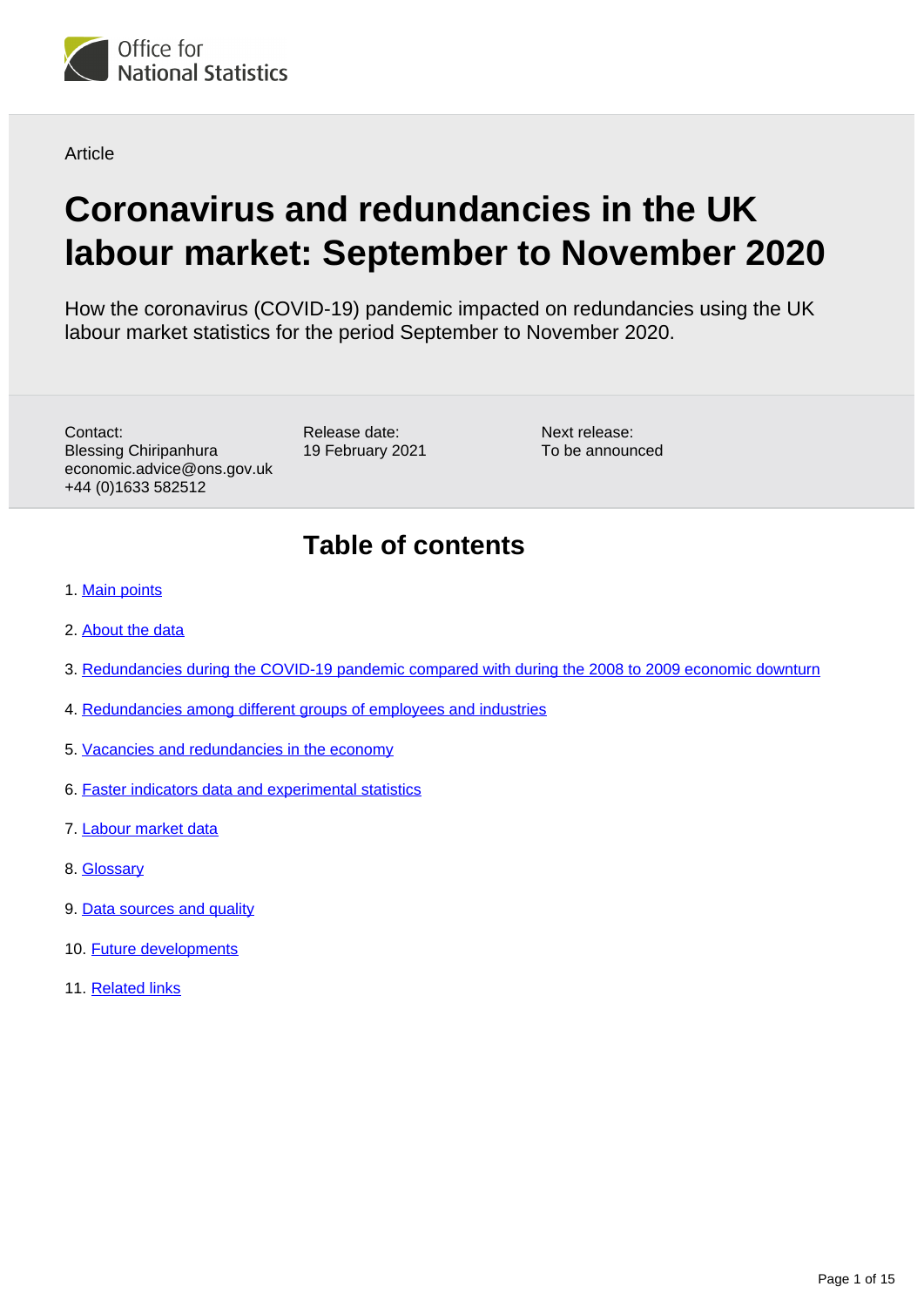

**Article** 

# **Coronavirus and redundancies in the UK labour market: September to November 2020**

How the coronavirus (COVID-19) pandemic impacted on redundancies using the UK labour market statistics for the period September to November 2020.

Contact: Blessing Chiripanhura economic.advice@ons.gov.uk +44 (0)1633 582512

Release date: 19 February 2021

Next release: To be announced

## **Table of contents**

- 1. [Main points](#page-1-0)
- 2. [About the data](#page-1-1)
- 3. [Redundancies during the COVID-19 pandemic compared with during the 2008 to 2009 economic downturn](#page-2-0)
- 4. [Redundancies among different groups of employees and industries](#page-4-0)
- 5. [Vacancies and redundancies in the economy](#page-8-0)
- 6. [Faster indicators data and experimental statistics](#page-10-0)
- 7. [Labour market data](#page-13-0)
- 8. [Glossary](#page-13-1)
- 9. [Data sources and quality](#page-14-0)
- 10. [Future developments](#page-14-1)
- 11. [Related links](#page-14-2)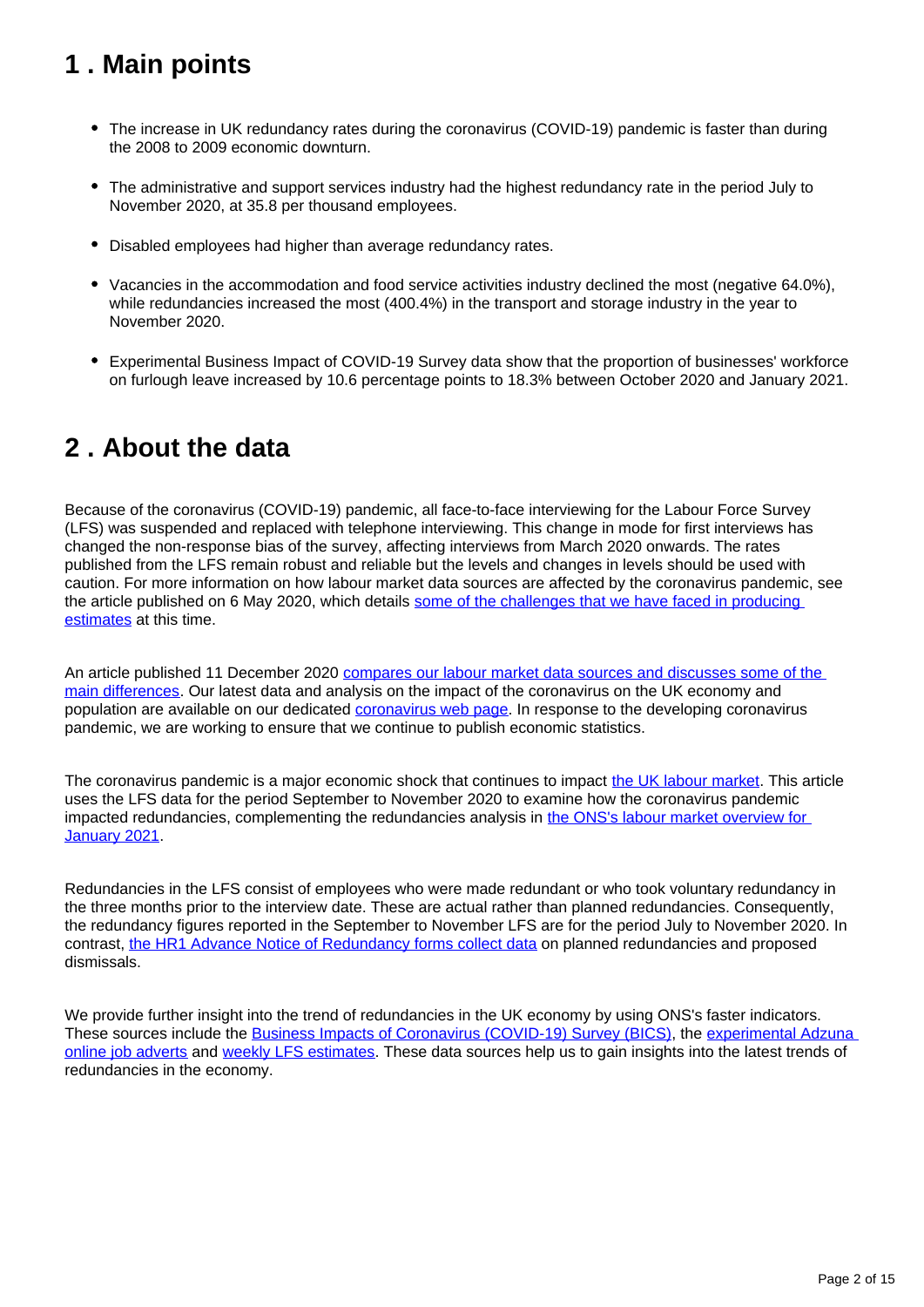## <span id="page-1-0"></span>**1 . Main points**

- The increase in UK redundancy rates during the coronavirus (COVID-19) pandemic is faster than during the 2008 to 2009 economic downturn.
- The administrative and support services industry had the highest redundancy rate in the period July to November 2020, at 35.8 per thousand employees.
- Disabled employees had higher than average redundancy rates.
- Vacancies in the accommodation and food service activities industry declined the most (negative 64.0%), while redundancies increased the most (400.4%) in the transport and storage industry in the year to November 2020.
- Experimental Business Impact of COVID-19 Survey data show that the proportion of businesses' workforce on furlough leave increased by 10.6 percentage points to 18.3% between October 2020 and January 2021.

## <span id="page-1-1"></span>**2 . About the data**

Because of the coronavirus (COVID-19) pandemic, all face-to-face interviewing for the Labour Force Survey (LFS) was suspended and replaced with telephone interviewing. This change in mode for first interviews has changed the non-response bias of the survey, affecting interviews from March 2020 onwards. The rates published from the LFS remain robust and reliable but the levels and changes in levels should be used with caution. For more information on how labour market data sources are affected by the coronavirus pandemic, see the article published on 6 May 2020, which details [some of the challenges that we have faced in producing](https://www.ons.gov.uk/employmentandlabourmarket/peopleinwork/employmentandemployeetypes/articles/coronavirusandtheeffectsonuklabourmarketstatistics/2020-05-06)  [estimates](https://www.ons.gov.uk/employmentandlabourmarket/peopleinwork/employmentandemployeetypes/articles/coronavirusandtheeffectsonuklabourmarketstatistics/2020-05-06) at this time.

An article published 11 December 2020 compares our labour market data sources and discusses some of the [main differences.](https://www.ons.gov.uk/employmentandlabourmarket/peopleinwork/employmentandemployeetypes/methodologies/comparisonoflabourmarketdatasources) Our latest data and analysis on the impact of the coronavirus on the UK economy and population are available on our dedicated [coronavirus web page.](http://www.ons.gov.uk/coronavirus) In response to the developing coronavirus pandemic, we are working to ensure that we continue to publish economic statistics.

The coronavirus pandemic is a major economic shock that continues to impact [the UK labour market.](https://www.ons.gov.uk/employmentandlabourmarket/peopleinwork/employmentandemployeetypes/bulletins/uklabourmarket/previousReleases) This article uses the LFS data for the period September to November 2020 to examine how the coronavirus pandemic impacted redundancies, complementing the redundancies analysis in [the ONS's labour market overview for](https://www.ons.gov.uk/employmentandlabourmarket/peopleinwork/employmentandemployeetypes/bulletins/uklabourmarket/january2021)  [January 2021.](https://www.ons.gov.uk/employmentandlabourmarket/peopleinwork/employmentandemployeetypes/bulletins/uklabourmarket/january2021)

Redundancies in the LFS consist of employees who were made redundant or who took voluntary redundancy in the three months prior to the interview date. These are actual rather than planned redundancies. Consequently, the redundancy figures reported in the September to November LFS are for the period July to November 2020. In contrast, [the HR1 Advance Notice of Redundancy forms collect data](https://www.gov.uk/government/publications/insolvency-service-foi-responses-october-to-december-2020/response-95-freedom-of-information-act-2000) on planned redundancies and proposed dismissals.

We provide further insight into the trend of redundancies in the UK economy by using ONS's faster indicators. These sources include the [Business Impacts of Coronavirus \(COVID-19\) Survey \(BICS\),](https://www.ons.gov.uk/businessindustryandtrade/business/businessservices/bulletins/businessinsightsandimpactontheukeconomy/28january2021) the [experimental Adzuna](https://www.ons.gov.uk/economy/economicoutputandproductivity/output/datasets/onlinejobadvertestimates)  [online job adverts](https://www.ons.gov.uk/economy/economicoutputandproductivity/output/datasets/onlinejobadvertestimates) and [weekly LFS estimates.](https://www.ons.gov.uk/employmentandlabourmarket/peopleinwork/employmentandemployeetypes/datasets/x07labourforcesurveyweeklyestimates) These data sources help us to gain insights into the latest trends of redundancies in the economy.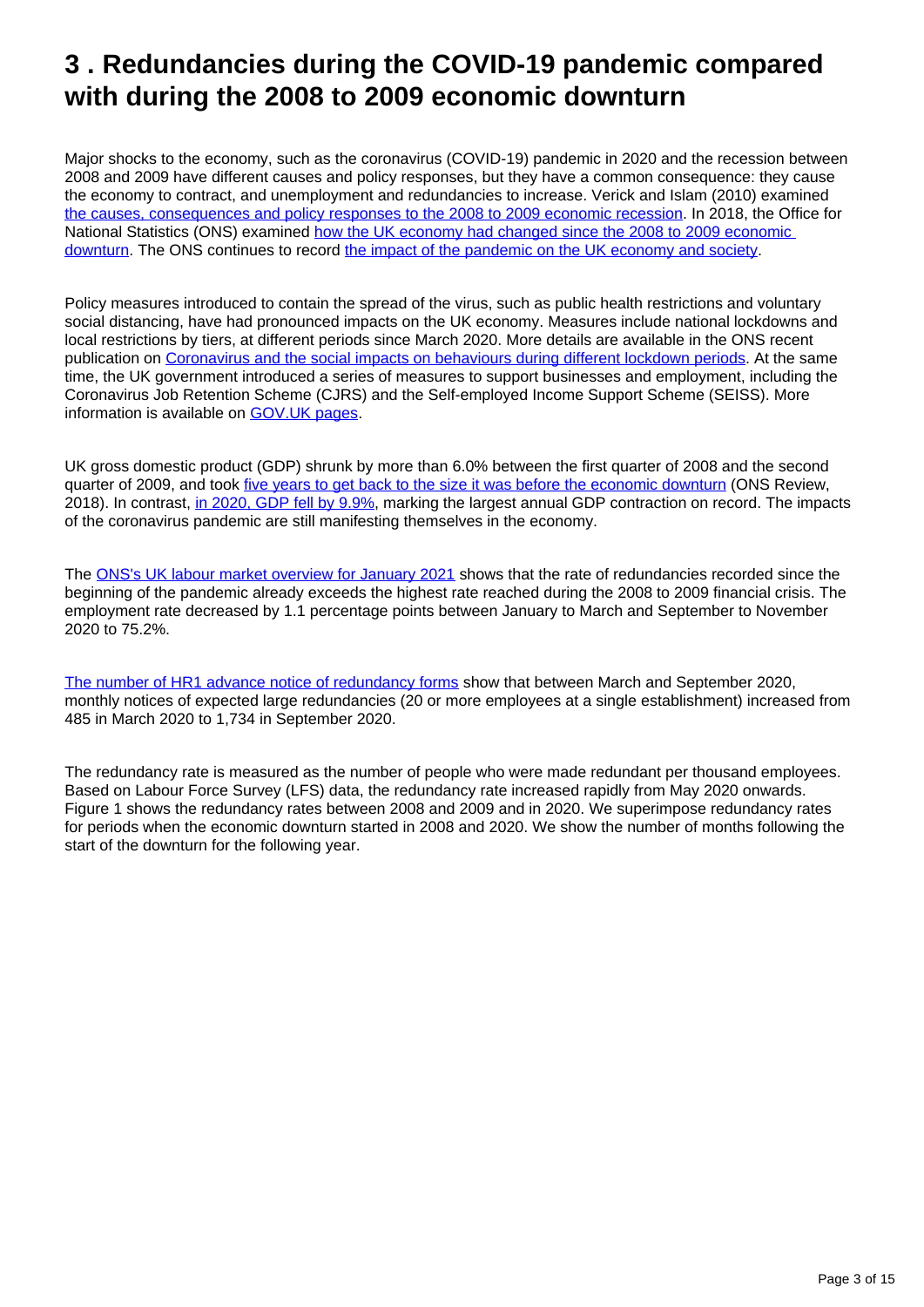## <span id="page-2-0"></span>**3 . Redundancies during the COVID-19 pandemic compared with during the 2008 to 2009 economic downturn**

Major shocks to the economy, such as the coronavirus (COVID-19) pandemic in 2020 and the recession between 2008 and 2009 have different causes and policy responses, but they have a common consequence: they cause the economy to contract, and unemployment and redundancies to increase. Verick and Islam (2010) examined [the causes, consequences and policy responses to the 2008 to 2009 economic recession](http://ftp.iza.org/dp4934.pdf). In 2018, the Office for National Statistics (ONS) examined [how the UK economy had changed since the 2008 to 2009 economic](https://www.ons.gov.uk/economy/grossdomesticproductgdp/articles/the2008recession10yearson/2018-04-30)  [downturn](https://www.ons.gov.uk/economy/grossdomesticproductgdp/articles/the2008recession10yearson/2018-04-30). The ONS continues to record [the impact of the pandemic on the UK economy and society](https://www.ons.gov.uk/peoplepopulationandcommunity/healthandsocialcare/conditionsanddiseases).

Policy measures introduced to contain the spread of the virus, such as public health restrictions and voluntary social distancing, have had pronounced impacts on the UK economy. Measures include national lockdowns and local restrictions by tiers, at different periods since March 2020. More details are available in the ONS recent publication on [Coronavirus and the social impacts on behaviours during different lockdown periods](https://www.ons.gov.uk/peoplepopulationandcommunity/healthandsocialcare/healthandwellbeing/articles/coronavirusandthesocialimpactsonbehavioursduringdifferentlockdownperiodsgreatbritain/uptofebruary2021). At the same time, the UK government introduced a series of measures to support businesses and employment, including the Coronavirus Job Retention Scheme (CJRS) and the Self-employed Income Support Scheme (SEISS). More information is available on [GOV.UK pages.](https://www.gov.uk/government/collections/financial-support-for-businesses-during-coronavirus-covid-19)

UK gross domestic product (GDP) shrunk by more than 6.0% between the first quarter of 2008 and the second quarter of 2009, and took [five years to get back to the size it was before the economic downturn](https://www.ons.gov.uk/economy/grossdomesticproductgdp/articles/the2008recession10yearson/2018-04-30) (ONS Review, 2018). In contrast, [in 2020, GDP fell by 9.9%](https://www.ons.gov.uk/economy/grossdomesticproductgdp/bulletins/gdpfirstquarterlyestimateuk/octobertodecember2020), marking the largest annual GDP contraction on record. The impacts of the coronavirus pandemic are still manifesting themselves in the economy.

The [ONS's UK labour market overview for January 2021](https://www.ons.gov.uk/employmentandlabourmarket/peopleinwork/employmentandemployeetypes/bulletins/uklabourmarket/january2021#redundancies) shows that the rate of redundancies recorded since the beginning of the pandemic already exceeds the highest rate reached during the 2008 to 2009 financial crisis. The employment rate decreased by 1.1 percentage points between January to March and September to November 2020 to 75.2%.

[The number of HR1 advance notice of redundancy forms](https://www.gov.uk/government/publications/insolvency-service-foi-responses-october-to-december-2020/response-95-freedom-of-information-act-2000) show that between March and September 2020, monthly notices of expected large redundancies (20 or more employees at a single establishment) increased from 485 in March 2020 to 1,734 in September 2020.

The redundancy rate is measured as the number of people who were made redundant per thousand employees. Based on Labour Force Survey (LFS) data, the redundancy rate increased rapidly from May 2020 onwards. Figure 1 shows the redundancy rates between 2008 and 2009 and in 2020. We superimpose redundancy rates for periods when the economic downturn started in 2008 and 2020. We show the number of months following the start of the downturn for the following year.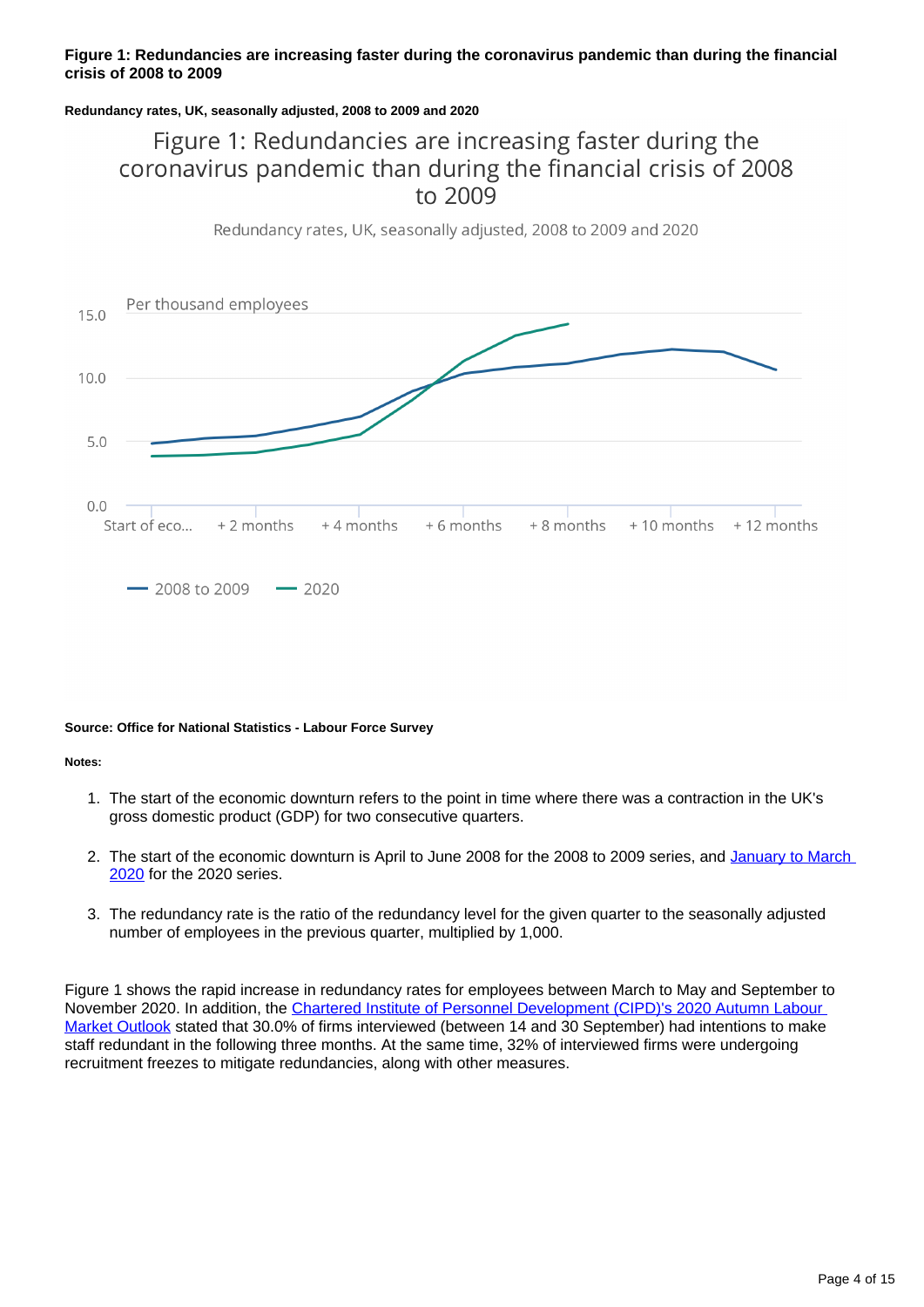### **Figure 1: Redundancies are increasing faster during the coronavirus pandemic than during the financial crisis of 2008 to 2009**

#### **Redundancy rates, UK, seasonally adjusted, 2008 to 2009 and 2020**

### Figure 1: Redundancies are increasing faster during the coronavirus pandemic than during the financial crisis of 2008 to 2009

Redundancy rates, UK, seasonally adjusted, 2008 to 2009 and 2020



#### **Source: Office for National Statistics - Labour Force Survey**

**Notes:**

- 1. The start of the economic downturn refers to the point in time where there was a contraction in the UK's gross domestic product (GDP) for two consecutive quarters.
- 2. The start of the economic downturn is April to June 2008 for the 2008 to 2009 series, and January to March [2020](https://www.ons.gov.uk/economy/grossdomesticproductgdp/bulletins/gdpmonthlyestimateuk/march2020) for the 2020 series.
- 3. The redundancy rate is the ratio of the redundancy level for the given quarter to the seasonally adjusted number of employees in the previous quarter, multiplied by 1,000.

Figure 1 shows the rapid increase in redundancy rates for employees between March to May and September to November 2020. In addition, the [Chartered Institute of Personnel Development \(CIPD\)'s 2020 Autumn Labour](https://www.cipd.co.uk/knowledge/work/trends/labour-market-outlook)  [Market Outlook](https://www.cipd.co.uk/knowledge/work/trends/labour-market-outlook) stated that 30.0% of firms interviewed (between 14 and 30 September) had intentions to make staff redundant in the following three months. At the same time, 32% of interviewed firms were undergoing recruitment freezes to mitigate redundancies, along with other measures.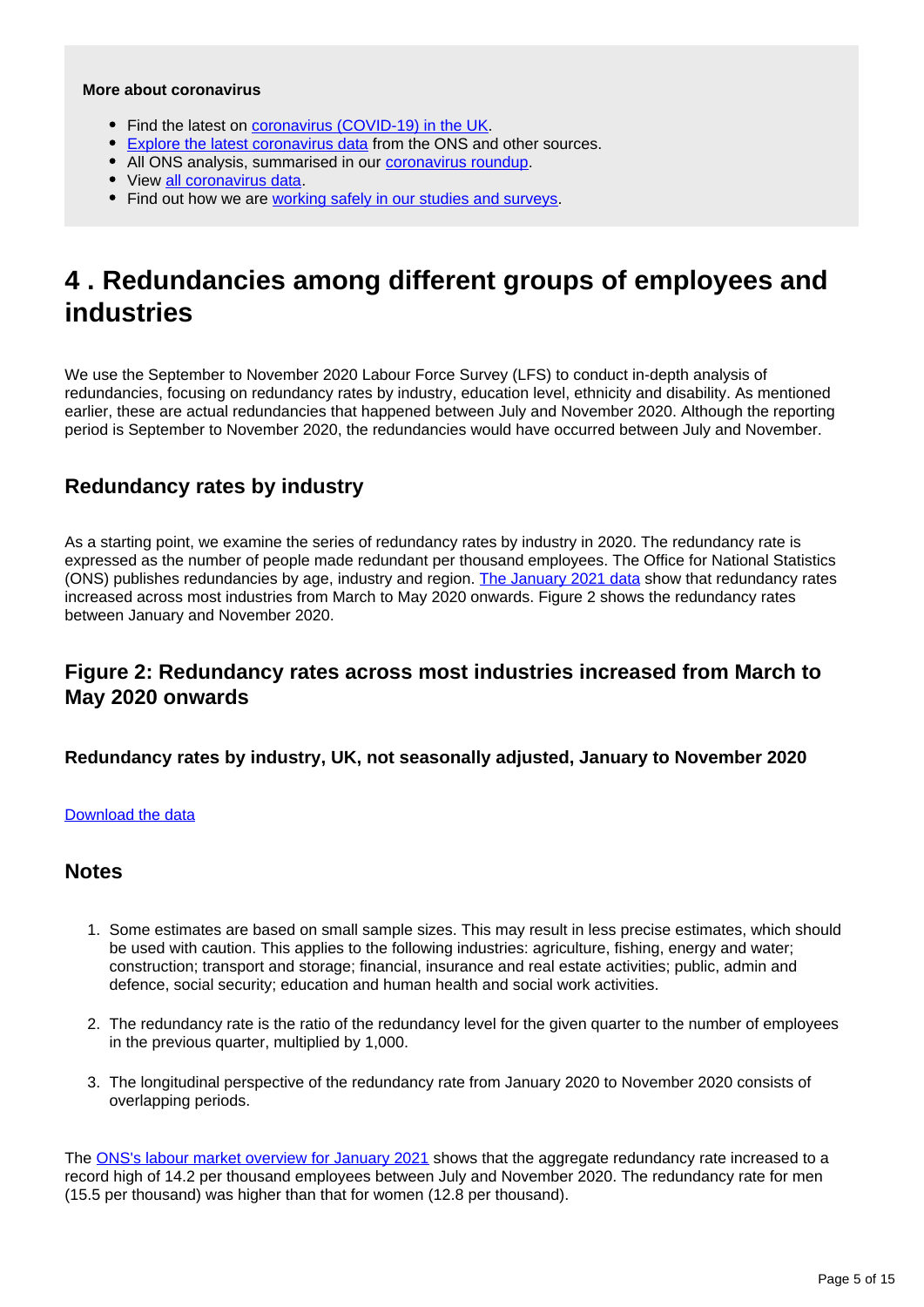#### **More about coronavirus**

- Find the latest on [coronavirus \(COVID-19\) in the UK.](https://www.ons.gov.uk/peoplepopulationandcommunity/healthandsocialcare/conditionsanddiseases)
- **[Explore the latest coronavirus data](https://www.ons.gov.uk/peoplepopulationandcommunity/healthandsocialcare/conditionsanddiseases/articles/coronaviruscovid19/latestinsights) from the ONS and other sources.**
- All ONS analysis, summarised in our [coronavirus roundup.](https://www.ons.gov.uk/peoplepopulationandcommunity/healthandsocialcare/conditionsanddiseases/articles/coronaviruscovid19roundup/latest)
- View [all coronavirus data](https://www.ons.gov.uk/peoplepopulationandcommunity/healthandsocialcare/conditionsanddiseases/datalist).
- Find out how we are [working safely in our studies and surveys.](https://www.ons.gov.uk/news/statementsandletters/ensuringyoursafetyduringcovid19)

## <span id="page-4-0"></span>**4 . Redundancies among different groups of employees and industries**

We use the September to November 2020 Labour Force Survey (LFS) to conduct in-depth analysis of redundancies, focusing on redundancy rates by industry, education level, ethnicity and disability. As mentioned earlier, these are actual redundancies that happened between July and November 2020. Although the reporting period is September to November 2020, the redundancies would have occurred between July and November.

### **Redundancy rates by industry**

As a starting point, we examine the series of redundancy rates by industry in 2020. The redundancy rate is expressed as the number of people made redundant per thousand employees. The Office for National Statistics (ONS) publishes redundancies by age, industry and region. [The January 2021 data](https://www.ons.gov.uk/employmentandlabourmarket/peoplenotinwork/redundancies/datasets/redundanciesbyindustryagesexandreemploymentratesred02) show that redundancy rates increased across most industries from March to May 2020 onwards. Figure 2 shows the redundancy rates between January and November 2020.

### **Figure 2: Redundancy rates across most industries increased from March to May 2020 onwards**

**Redundancy rates by industry, UK, not seasonally adjusted, January to November 2020**

### [Download the data](https://www.ons.gov.uk/visualisations/dvc1201/multiline/datadownload.xlsx)

### **Notes**

- 1. Some estimates are based on small sample sizes. This may result in less precise estimates, which should be used with caution. This applies to the following industries: agriculture, fishing, energy and water; construction; transport and storage; financial, insurance and real estate activities; public, admin and defence, social security; education and human health and social work activities.
- 2. The redundancy rate is the ratio of the redundancy level for the given quarter to the number of employees in the previous quarter, multiplied by 1,000.
- 3. The longitudinal perspective of the redundancy rate from January 2020 to November 2020 consists of overlapping periods.

The [ONS's labour market overview for January 2021](https://www.ons.gov.uk/employmentandlabourmarket/peopleinwork/employmentandemployeetypes/bulletins/uklabourmarket/january2021#redundancies) shows that the aggregate redundancy rate increased to a record high of 14.2 per thousand employees between July and November 2020. The redundancy rate for men (15.5 per thousand) was higher than that for women (12.8 per thousand).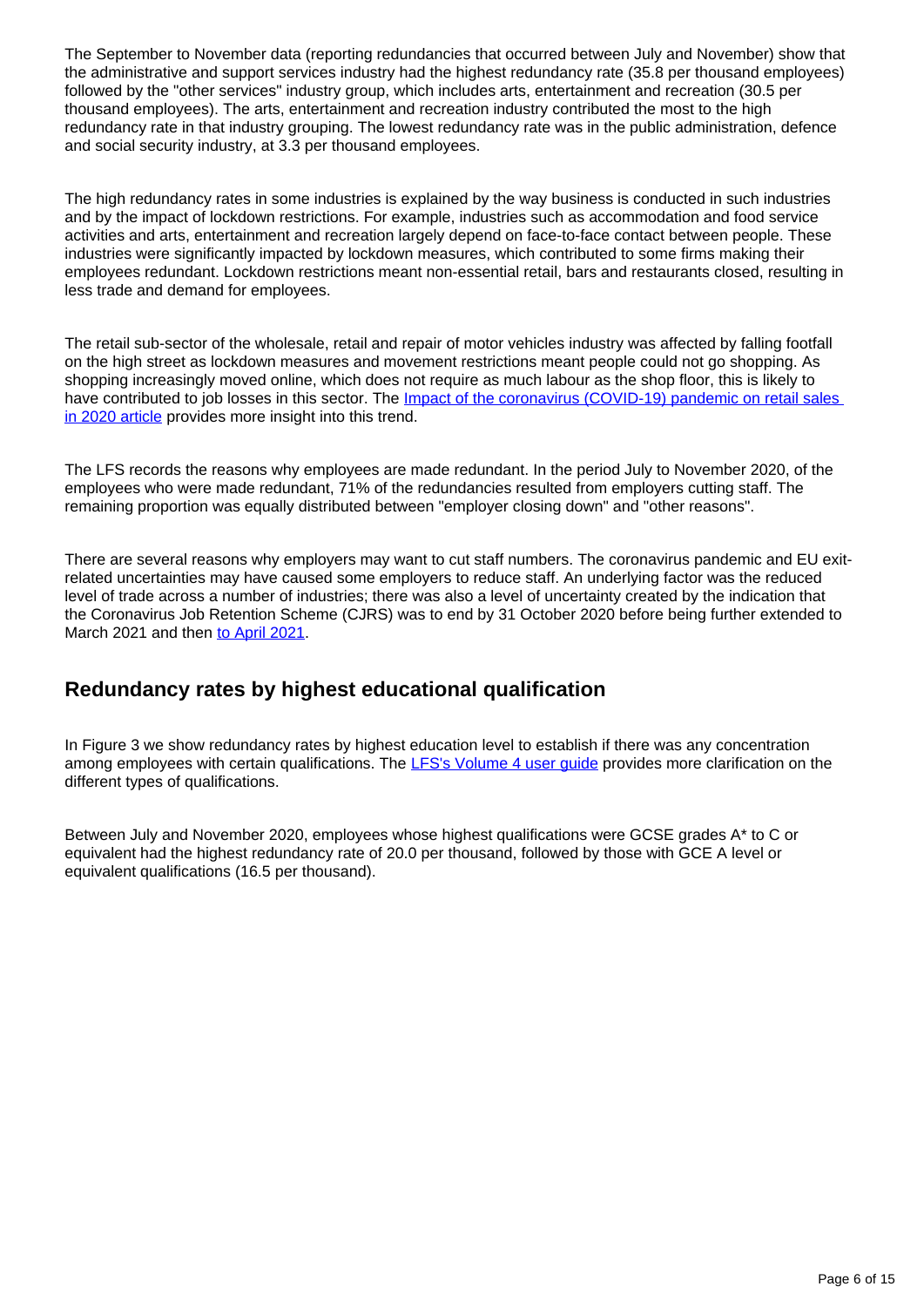The September to November data (reporting redundancies that occurred between July and November) show that the administrative and support services industry had the highest redundancy rate (35.8 per thousand employees) followed by the "other services" industry group, which includes arts, entertainment and recreation (30.5 per thousand employees). The arts, entertainment and recreation industry contributed the most to the high redundancy rate in that industry grouping. The lowest redundancy rate was in the public administration, defence and social security industry, at 3.3 per thousand employees.

The high redundancy rates in some industries is explained by the way business is conducted in such industries and by the impact of lockdown restrictions. For example, industries such as accommodation and food service activities and arts, entertainment and recreation largely depend on face-to-face contact between people. These industries were significantly impacted by lockdown measures, which contributed to some firms making their employees redundant. Lockdown restrictions meant non-essential retail, bars and restaurants closed, resulting in less trade and demand for employees.

The retail sub-sector of the wholesale, retail and repair of motor vehicles industry was affected by falling footfall on the high street as lockdown measures and movement restrictions meant people could not go shopping. As shopping increasingly moved online, which does not require as much labour as the shop floor, this is likely to have contributed to job losses in this sector. The *Impact of the coronavirus (COVID-19)* pandemic on retail sales [in 2020 article](https://www.ons.gov.uk/economy/grossdomesticproductgdp/articles/impactofthecoronaviruscovid19pandemiconretailsalesin2020/2021-01-28) provides more insight into this trend.

The LFS records the reasons why employees are made redundant. In the period July to November 2020, of the employees who were made redundant, 71% of the redundancies resulted from employers cutting staff. The remaining proportion was equally distributed between "employer closing down" and "other reasons".

There are several reasons why employers may want to cut staff numbers. The coronavirus pandemic and EU exitrelated uncertainties may have caused some employers to reduce staff. An underlying factor was the reduced level of trade across a number of industries; there was also a level of uncertainty created by the indication that the Coronavirus Job Retention Scheme (CJRS) was to end by 31 October 2020 before being further extended to March 2021 and then [to April 2021.](https://www.gov.uk/government/news/chancellor-extends-furlough-and-loan-schemes)

### **Redundancy rates by highest educational qualification**

In Figure 3 we show redundancy rates by highest education level to establish if there was any concentration among employees with certain qualifications. The LFS's Volume 4 user quide provides more clarification on the different types of qualifications.

Between July and November 2020, employees whose highest qualifications were GCSE grades A\* to C or equivalent had the highest redundancy rate of 20.0 per thousand, followed by those with GCE A level or equivalent qualifications (16.5 per thousand).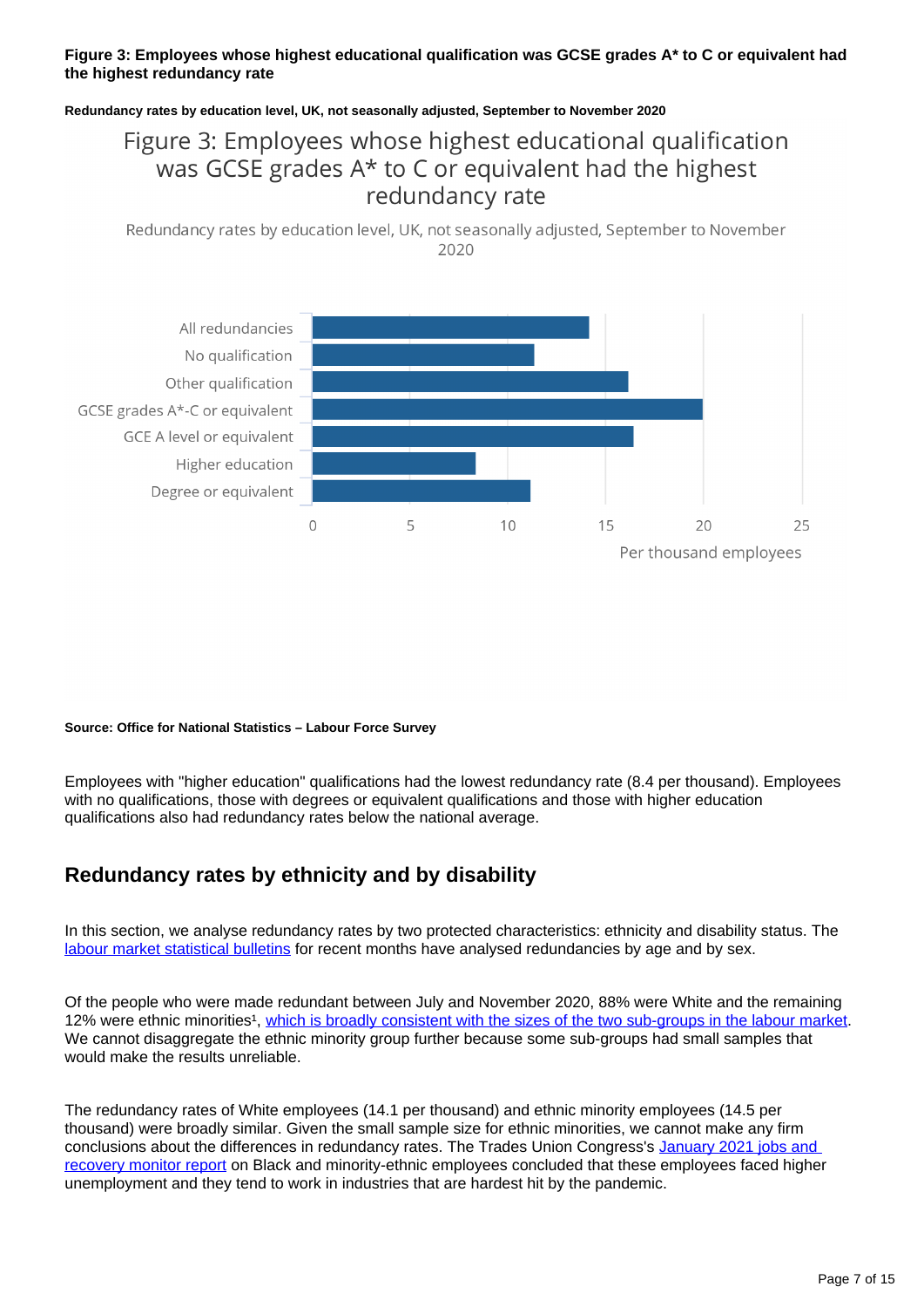### **Figure 3: Employees whose highest educational qualification was GCSE grades A\* to C or equivalent had the highest redundancy rate**

#### **Redundancy rates by education level, UK, not seasonally adjusted, September to November 2020**

### Figure 3: Employees whose highest educational qualification was GCSE grades A\* to C or equivalent had the highest redundancy rate

Redundancy rates by education level, UK, not seasonally adjusted, September to November 2020



#### **Source: Office for National Statistics – Labour Force Survey**

Employees with "higher education" qualifications had the lowest redundancy rate (8.4 per thousand). Employees with no qualifications, those with degrees or equivalent qualifications and those with higher education qualifications also had redundancy rates below the national average.

### **Redundancy rates by ethnicity and by disability**

In this section, we analyse redundancy rates by two protected characteristics: ethnicity and disability status. The [labour market statistical bulletins](https://www.ons.gov.uk/employmentandlabourmarket/peopleinwork/employmentandemployeetypes/bulletins/uklabourmarket/previousReleases) for recent months have analysed redundancies by age and by sex.

Of the people who were made redundant between July and November 2020, 88% were White and the remaining 12% were ethnic minorities<sup>1</sup>, [which is broadly consistent with the sizes of the two sub-groups in the labour market](https://www.ons.gov.uk/employmentandlabourmarket/peopleinwork/employmentandemployeetypes/datasets/labourmarketstatusbyethnicgroupa09). We cannot disaggregate the ethnic minority group further because some sub-groups had small samples that would make the results unreliable.

The redundancy rates of White employees (14.1 per thousand) and ethnic minority employees (14.5 per thousand) were broadly similar. Given the small sample size for ethnic minorities, we cannot make any firm conclusions about the differences in redundancy rates. The Trades Union Congress's [January 2021 jobs and](https://www.tuc.org.uk/research-analysis/reports/jobs-and-recovery-monitor-bme-workers)  [recovery monitor report](https://www.tuc.org.uk/research-analysis/reports/jobs-and-recovery-monitor-bme-workers) on Black and minority-ethnic employees concluded that these employees faced higher unemployment and they tend to work in industries that are hardest hit by the pandemic.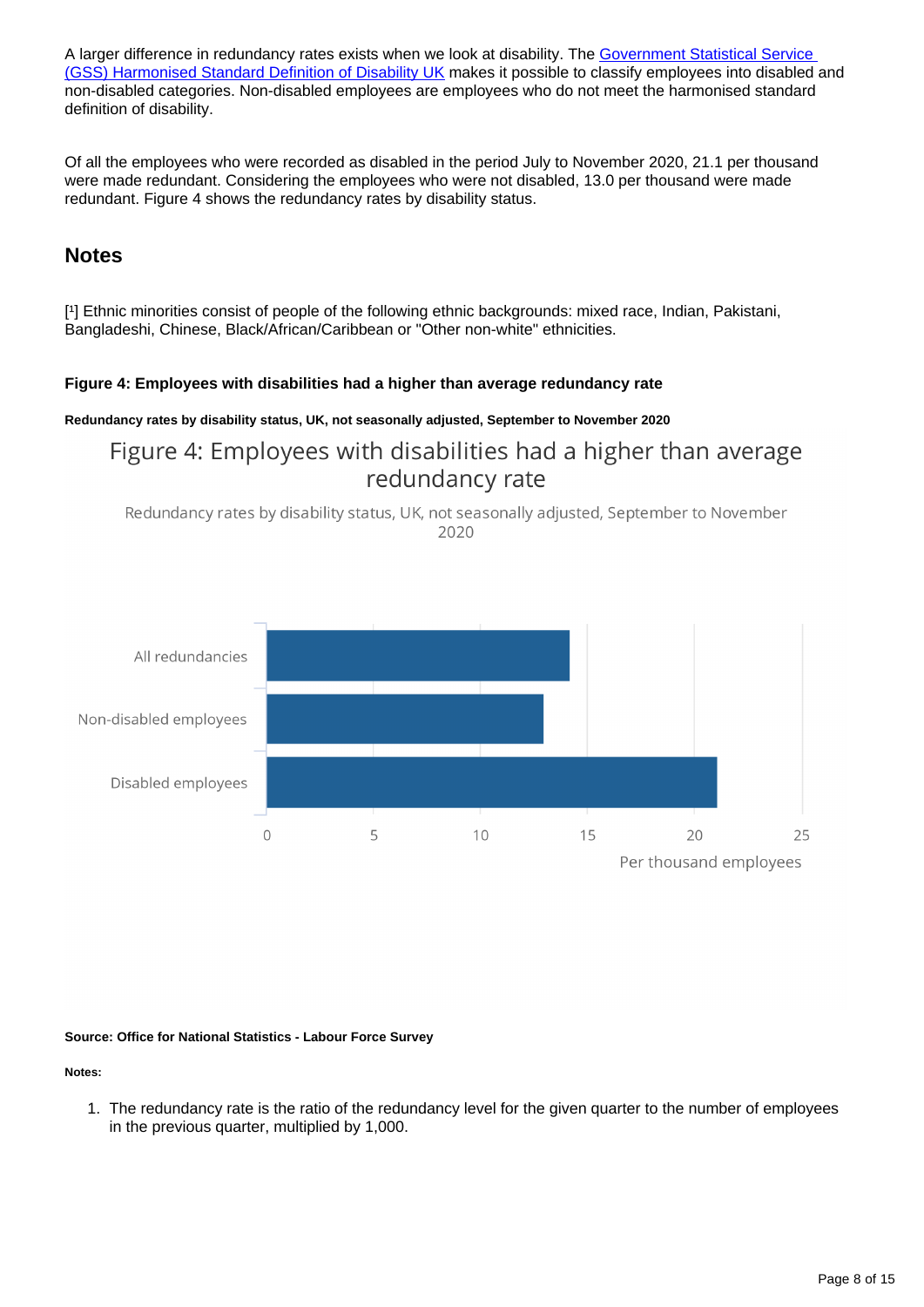A larger difference in redundancy rates exists when we look at disability. The Government Statistical Service [\(GSS\) Harmonised Standard Definition of Disability UK](https://gss.civilservice.gov.uk/policy-store/measuring-disability-for-the-equality-act-2010/) makes it possible to classify employees into disabled and non-disabled categories. Non-disabled employees are employees who do not meet the harmonised standard definition of disability.

Of all the employees who were recorded as disabled in the period July to November 2020, 21.1 per thousand were made redundant. Considering the employees who were not disabled, 13.0 per thousand were made redundant. Figure 4 shows the redundancy rates by disability status.

### **Notes**

[1] Ethnic minorities consist of people of the following ethnic backgrounds: mixed race, Indian, Pakistani, Bangladeshi, Chinese, Black/African/Caribbean or "Other non-white" ethnicities.

### **Figure 4: Employees with disabilities had a higher than average redundancy rate**

### **Redundancy rates by disability status, UK, not seasonally adjusted, September to November 2020**

### Figure 4: Employees with disabilities had a higher than average redundancy rate





#### **Source: Office for National Statistics - Labour Force Survey**

### **Notes:**

1. The redundancy rate is the ratio of the redundancy level for the given quarter to the number of employees in the previous quarter, multiplied by 1,000.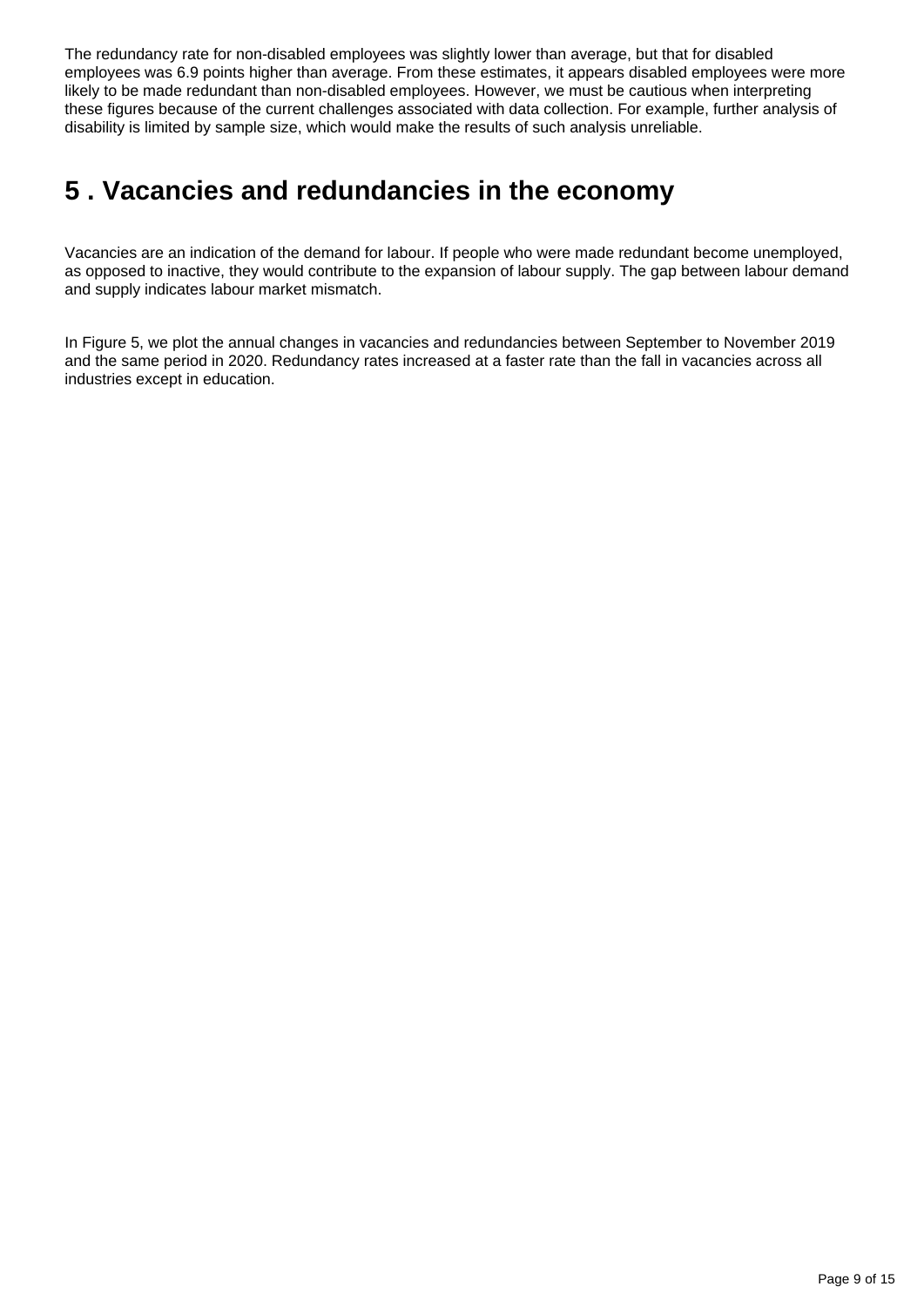The redundancy rate for non-disabled employees was slightly lower than average, but that for disabled employees was 6.9 points higher than average. From these estimates, it appears disabled employees were more likely to be made redundant than non-disabled employees. However, we must be cautious when interpreting these figures because of the current challenges associated with data collection. For example, further analysis of disability is limited by sample size, which would make the results of such analysis unreliable.

## <span id="page-8-0"></span>**5 . Vacancies and redundancies in the economy**

Vacancies are an indication of the demand for labour. If people who were made redundant become unemployed, as opposed to inactive, they would contribute to the expansion of labour supply. The gap between labour demand and supply indicates labour market mismatch.

In Figure 5, we plot the annual changes in vacancies and redundancies between September to November 2019 and the same period in 2020. Redundancy rates increased at a faster rate than the fall in vacancies across all industries except in education.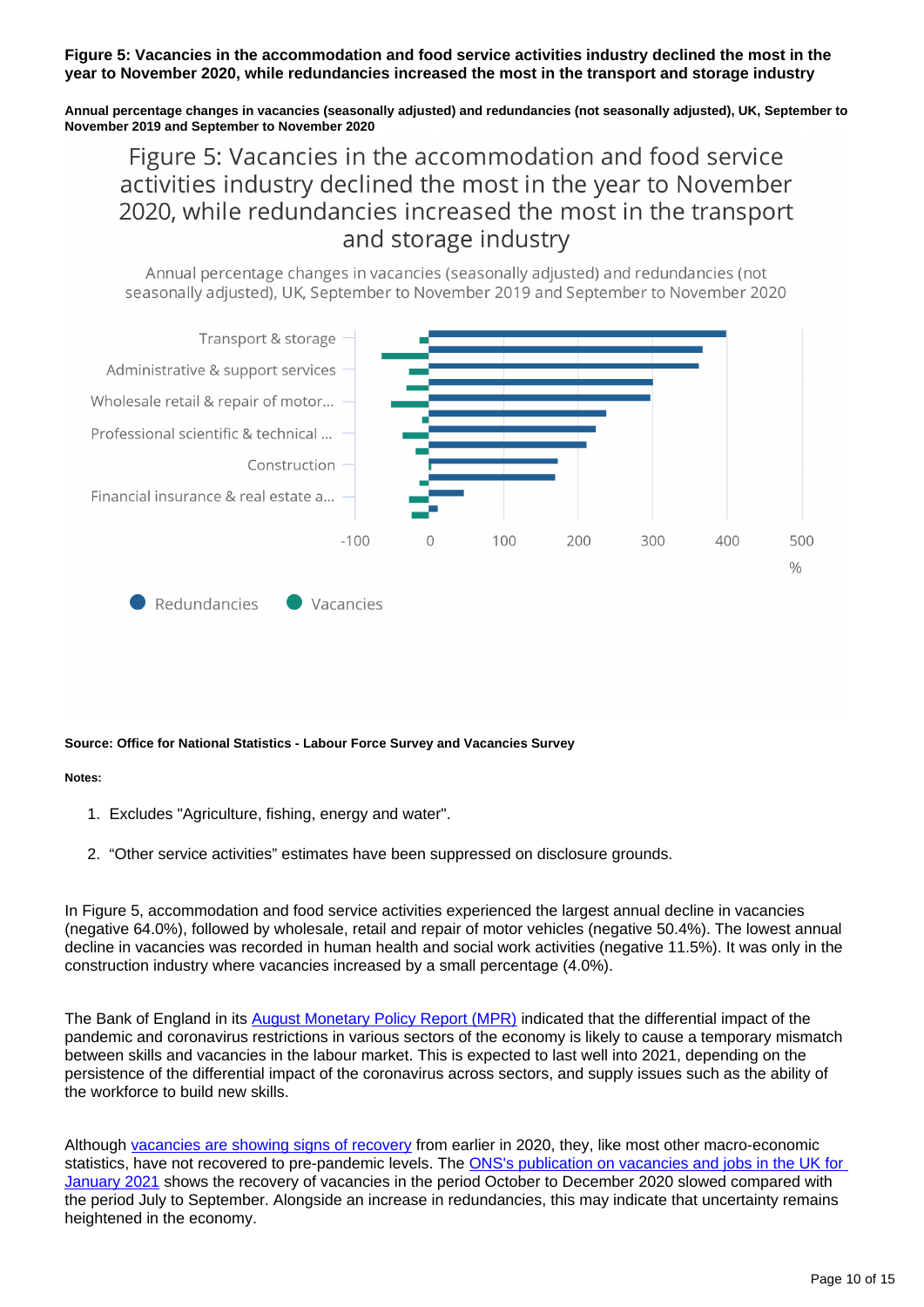### **Figure 5: Vacancies in the accommodation and food service activities industry declined the most in the year to November 2020, while redundancies increased the most in the transport and storage industry**

**Annual percentage changes in vacancies (seasonally adjusted) and redundancies (not seasonally adjusted), UK, September to November 2019 and September to November 2020**

## Figure 5: Vacancies in the accommodation and food service activities industry declined the most in the year to November 2020, while redundancies increased the most in the transport and storage industry

Annual percentage changes in vacancies (seasonally adjusted) and redundancies (not seasonally adjusted), UK, September to November 2019 and September to November 2020



#### **Source: Office for National Statistics - Labour Force Survey and Vacancies Survey**

#### **Notes:**

- 1. Excludes "Agriculture, fishing, energy and water".
- 2. "Other service activities" estimates have been suppressed on disclosure grounds.

In Figure 5, accommodation and food service activities experienced the largest annual decline in vacancies (negative 64.0%), followed by wholesale, retail and repair of motor vehicles (negative 50.4%). The lowest annual decline in vacancies was recorded in human health and social work activities (negative 11.5%). It was only in the construction industry where vacancies increased by a small percentage (4.0%).

The Bank of England in its [August Monetary Policy Report \(MPR\)](https://www.bankofengland.co.uk/-/media/boe/files/monetary-policy-report/2020/august/monetary-policy-report-august-2020.pdf) indicated that the differential impact of the pandemic and coronavirus restrictions in various sectors of the economy is likely to cause a temporary mismatch between skills and vacancies in the labour market. This is expected to last well into 2021, depending on the persistence of the differential impact of the coronavirus across sectors, and supply issues such as the ability of the workforce to build new skills.

Although [vacancies are showing signs of recovery](https://www.ons.gov.uk/employmentandlabourmarket/peopleinwork/employmentandemployeetypes/bulletins/jobsandvacanciesintheuk/january2021) from earlier in 2020, they, like most other macro-economic statistics, have not recovered to pre-pandemic levels. The ONS's publication on vacancies and jobs in the UK for [January 2021](https://www.ons.gov.uk/employmentandlabourmarket/peopleinwork/employmentandemployeetypes/bulletins/jobsandvacanciesintheuk/january2021#vacancies-and-jobs-data) shows the recovery of vacancies in the period October to December 2020 slowed compared with the period July to September. Alongside an increase in redundancies, this may indicate that uncertainty remains heightened in the economy.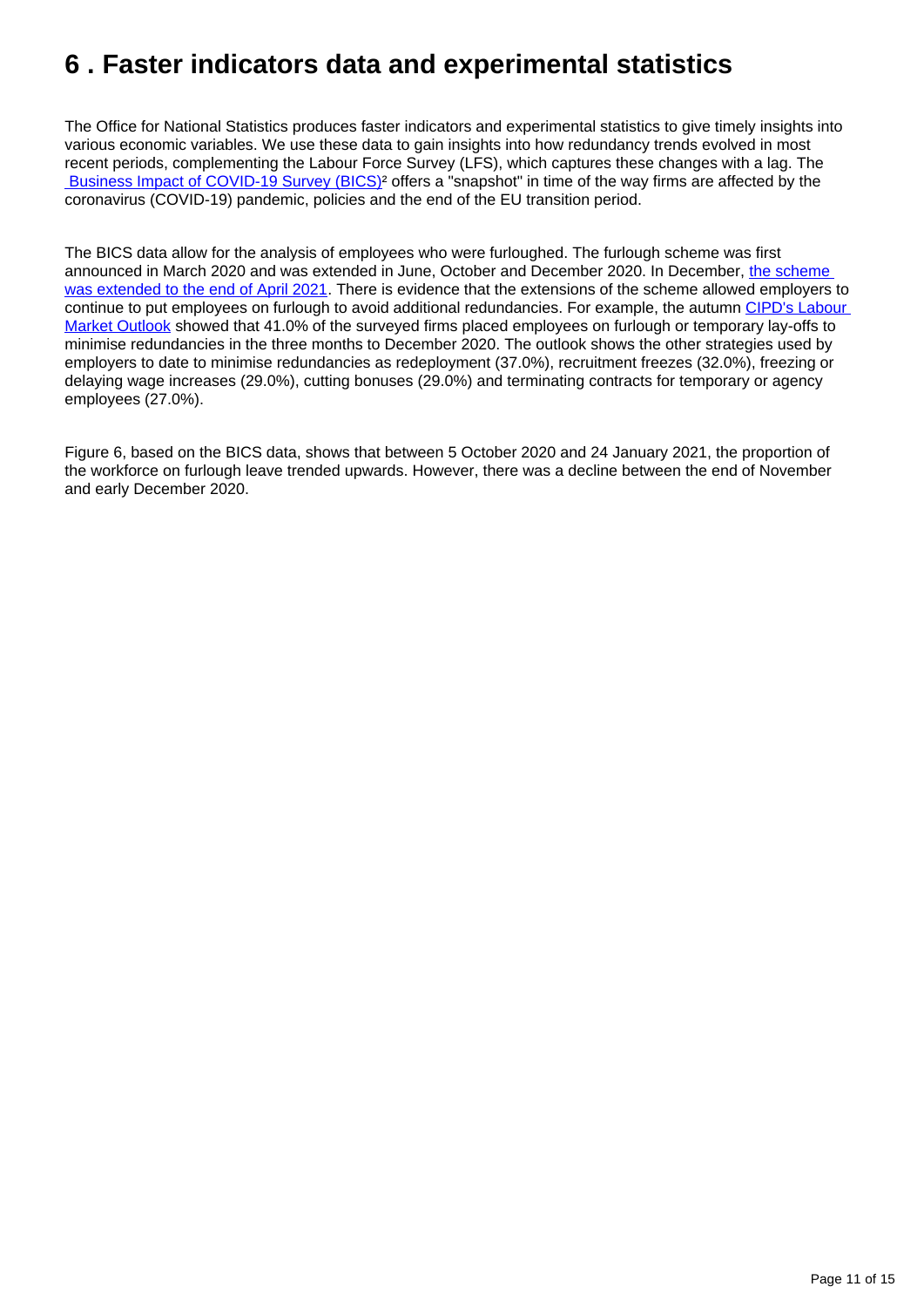## <span id="page-10-0"></span>**6 . Faster indicators data and experimental statistics**

The Office for National Statistics produces faster indicators and experimental statistics to give timely insights into various economic variables. We use these data to gain insights into how redundancy trends evolved in most recent periods, complementing the Labour Force Survey (LFS), which captures these changes with a lag. The  [Business Impact of COVID-19 Survey \(BICS\)](https://www.ons.gov.uk/economy/economicoutputandproductivity/output/datasets/businessinsightsandimpactontheukeconomy)² offers a "snapshot" in time of the way firms are affected by the coronavirus (COVID-19) pandemic, policies and the end of the EU transition period.

The BICS data allow for the analysis of employees who were furloughed. The furlough scheme was first announced in March 2020 and was extended in June, October and December 2020. In December, [the scheme](https://www.gov.uk/government/news/chancellor-extends-furlough-and-loan-schemes)  [was extended to the end of April 2021](https://www.gov.uk/government/news/chancellor-extends-furlough-and-loan-schemes). There is evidence that the extensions of the scheme allowed employers to continue to put employees on furlough to avoid additional redundancies. For example, the autumn CIPD's Labour [Market Outlook](https://www.cipd.co.uk/knowledge/work/trends/labour-market-outlook) showed that 41.0% of the surveyed firms placed employees on furlough or temporary lay-offs to minimise redundancies in the three months to December 2020. The outlook shows the other strategies used by employers to date to minimise redundancies as redeployment (37.0%), recruitment freezes (32.0%), freezing or delaying wage increases (29.0%), cutting bonuses (29.0%) and terminating contracts for temporary or agency employees (27.0%).

Figure 6, based on the BICS data, shows that between 5 October 2020 and 24 January 2021, the proportion of the workforce on furlough leave trended upwards. However, there was a decline between the end of November and early December 2020.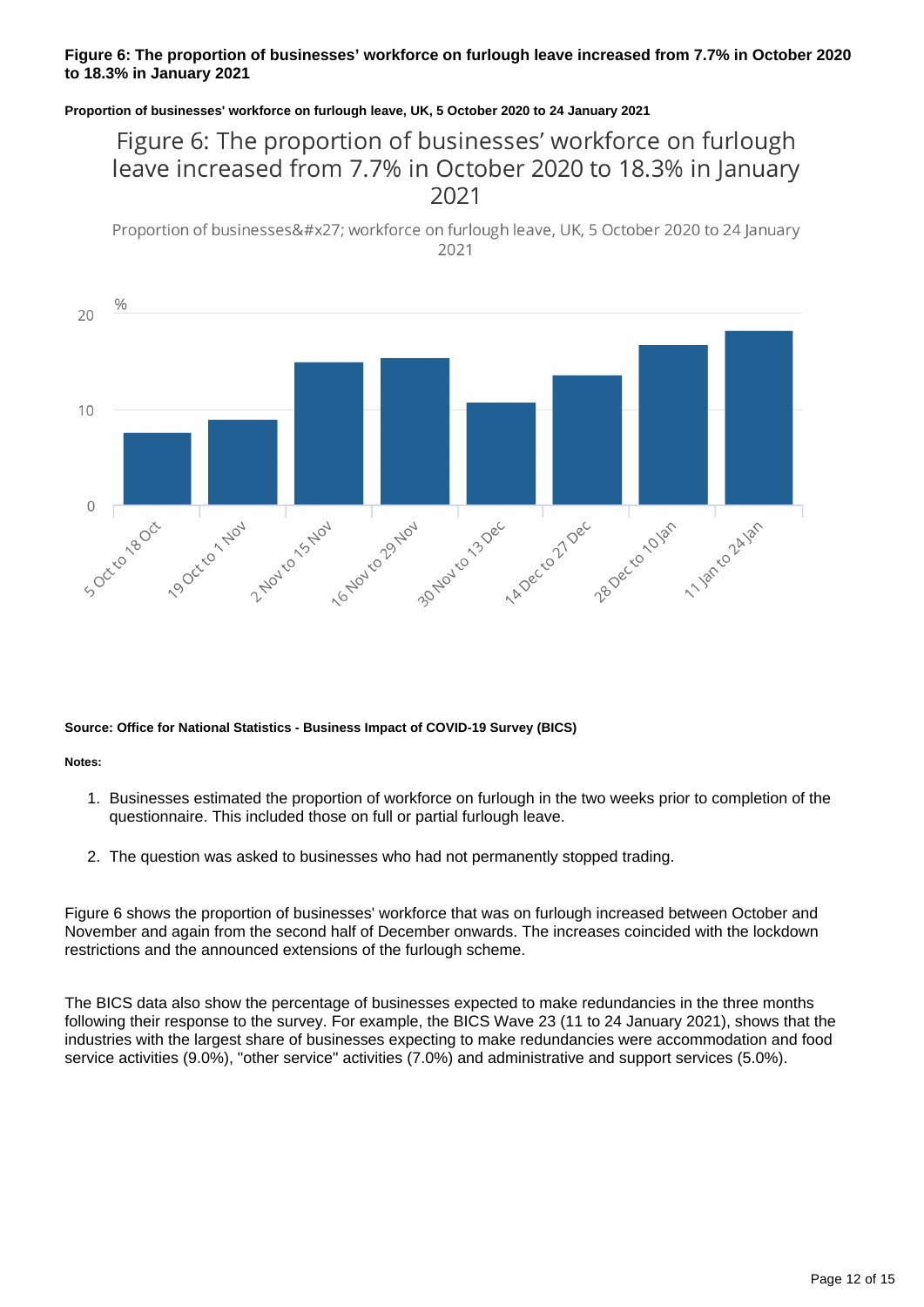### **Figure 6: The proportion of businesses' workforce on furlough leave increased from 7.7% in October 2020 to 18.3% in January 2021**

#### **Proportion of businesses' workforce on furlough leave, UK, 5 October 2020 to 24 January 2021**

### Figure 6: The proportion of businesses' workforce on furlough leave increased from 7.7% in October 2020 to 18.3% in January 2021

Proportion of businesses' workforce on furlough leave, UK, 5 October 2020 to 24 January 2021



#### **Source: Office for National Statistics - Business Impact of COVID-19 Survey (BICS)**

**Notes:**

- 1. Businesses estimated the proportion of workforce on furlough in the two weeks prior to completion of the questionnaire. This included those on full or partial furlough leave.
- 2. The question was asked to businesses who had not permanently stopped trading.

Figure 6 shows the proportion of businesses' workforce that was on furlough increased between October and November and again from the second half of December onwards. The increases coincided with the lockdown restrictions and the announced extensions of the furlough scheme.

The BICS data also show the percentage of businesses expected to make redundancies in the three months following their response to the survey. For example, the BICS Wave 23 (11 to 24 January 2021), shows that the industries with the largest share of businesses expecting to make redundancies were accommodation and food service activities (9.0%), "other service" activities (7.0%) and administrative and support services (5.0%).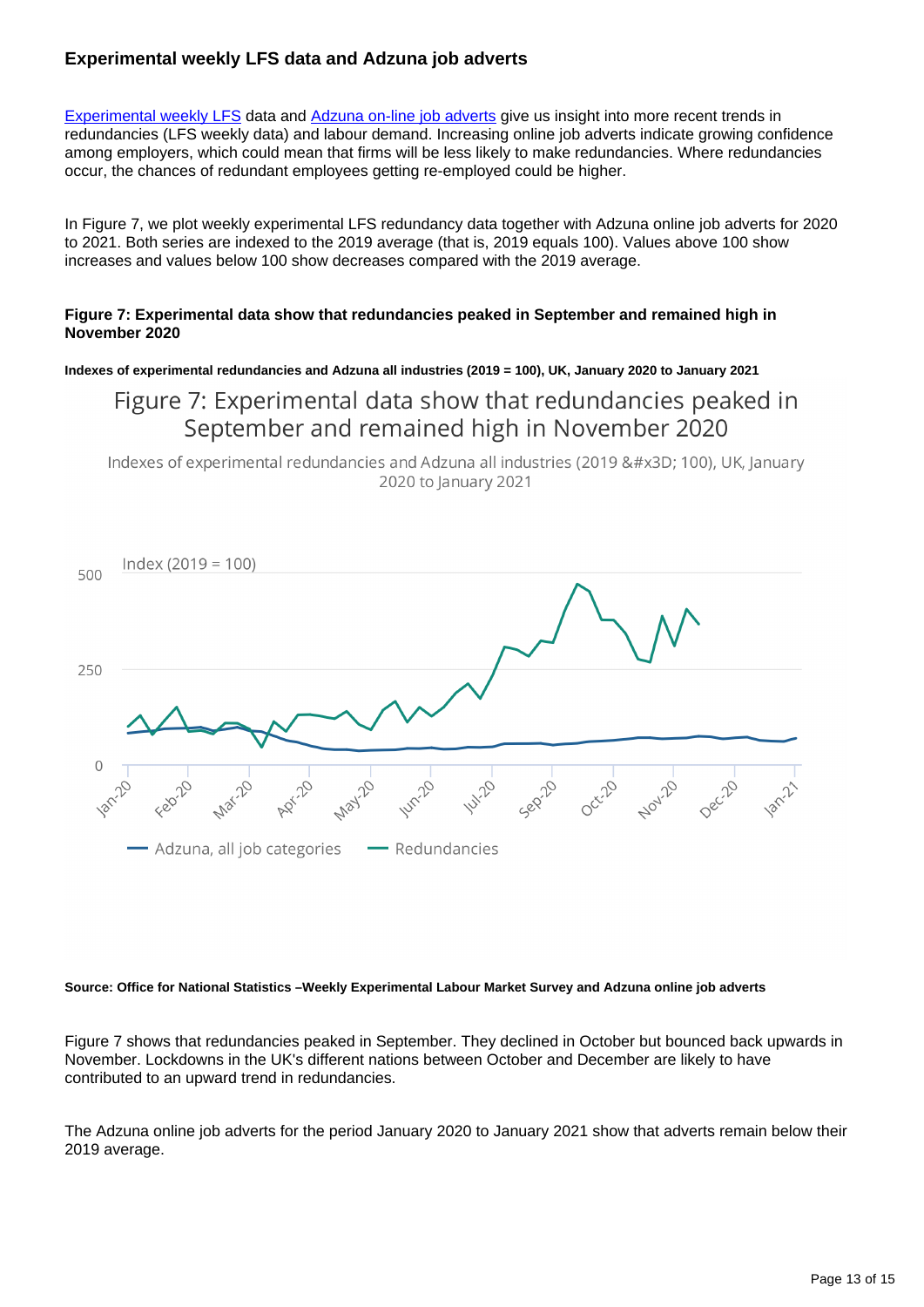### **Experimental weekly LFS data and Adzuna job adverts**

[Experimental weekly LFS](https://www.ons.gov.uk/employmentandlabourmarket/peopleinwork/employmentandemployeetypes/datasets/x07labourforcesurveyweeklyestimates) data and [Adzuna on-line job adverts](https://www.ons.gov.uk/economy/economicoutputandproductivity/output/datasets/onlinejobadvertestimates) give us insight into more recent trends in redundancies (LFS weekly data) and labour demand. Increasing online job adverts indicate growing confidence among employers, which could mean that firms will be less likely to make redundancies. Where redundancies occur, the chances of redundant employees getting re-employed could be higher.

In Figure 7, we plot weekly experimental LFS redundancy data together with Adzuna online job adverts for 2020 to 2021. Both series are indexed to the 2019 average (that is, 2019 equals 100). Values above 100 show increases and values below 100 show decreases compared with the 2019 average.

### **Figure 7: Experimental data show that redundancies peaked in September and remained high in November 2020**

**Indexes of experimental redundancies and Adzuna all industries (2019 = 100), UK, January 2020 to January 2021**

### Figure 7: Experimental data show that redundancies peaked in September and remained high in November 2020

Indexes of experimental redundancies and Adzuna all industries (2019 = 100), UK, January 2020 to January 2021



#### **Source: Office for National Statistics –Weekly Experimental Labour Market Survey and Adzuna online job adverts**

Figure 7 shows that redundancies peaked in September. They declined in October but bounced back upwards in November. Lockdowns in the UK's different nations between October and December are likely to have contributed to an upward trend in redundancies.

The Adzuna online job adverts for the period January 2020 to January 2021 show that adverts remain below their 2019 average.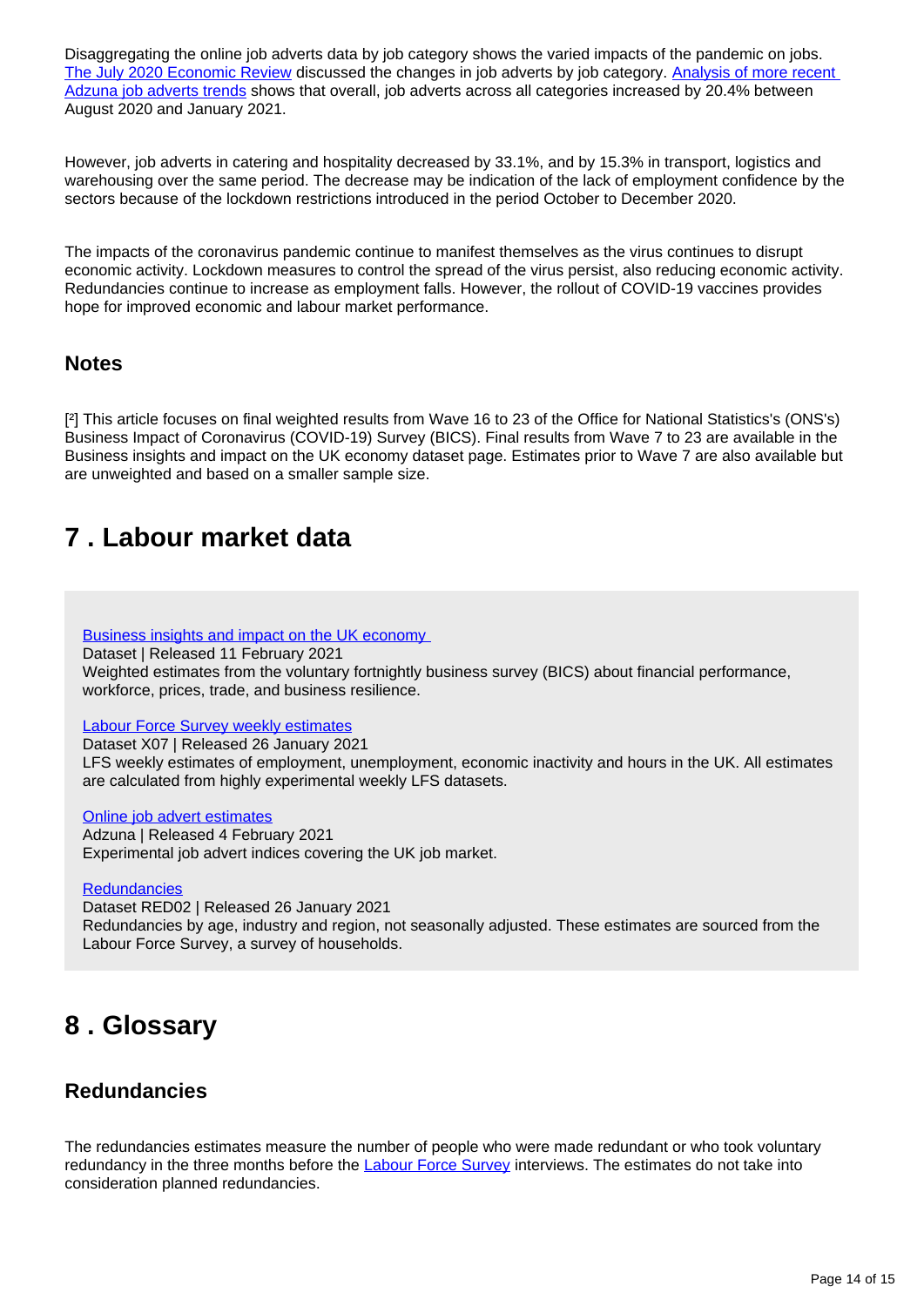Disaggregating the online job adverts data by job category shows the varied impacts of the pandemic on jobs. [The July 2020 Economic Review](https://www.ons.gov.uk/employmentandlabourmarket/peopleinwork/employmentandemployeetypes/articles/earlyinsightsofhowthecoronaviruscovid19pandemicimpactedthelabourmarket/july2020) discussed the changes in job adverts by job category. [Analysis of more recent](https://share.sp.ons.statistics.gov.uk/sites/MSDLMC/_layouts/15/WopiFrame2.aspx?sourcedoc=/sites/MSDLMC/LMEC/LMEC_Processing/2021/Jan_21/redundancy_Jan_21/Adzuna/11february2021onlinejobadvertsdataset.xlsx&action=default)  [Adzuna job adverts trends](https://share.sp.ons.statistics.gov.uk/sites/MSDLMC/_layouts/15/WopiFrame2.aspx?sourcedoc=/sites/MSDLMC/LMEC/LMEC_Processing/2021/Jan_21/redundancy_Jan_21/Adzuna/11february2021onlinejobadvertsdataset.xlsx&action=default) shows that overall, job adverts across all categories increased by 20.4% between August 2020 and January 2021.

However, job adverts in catering and hospitality decreased by 33.1%, and by 15.3% in transport, logistics and warehousing over the same period. The decrease may be indication of the lack of employment confidence by the sectors because of the lockdown restrictions introduced in the period October to December 2020.

The impacts of the coronavirus pandemic continue to manifest themselves as the virus continues to disrupt economic activity. Lockdown measures to control the spread of the virus persist, also reducing economic activity. Redundancies continue to increase as employment falls. However, the rollout of COVID-19 vaccines provides hope for improved economic and labour market performance.

### **Notes**

[<sup>2</sup>] This article focuses on final weighted results from Wave 16 to 23 of the Office for National Statistics's (ONS's) Business Impact of Coronavirus (COVID-19) Survey (BICS). Final results from Wave 7 to 23 are available in the Business insights and impact on the UK economy dataset page. Estimates prior to Wave 7 are also available but are unweighted and based on a smaller sample size.

## <span id="page-13-0"></span>**7 . Labour market data**

[Business insights and impact on the UK economy](https://www.ons.gov.uk/economy/economicoutputandproductivity/output/datasets/businessinsightsandimpactontheukeconomy)

Dataset | Released 11 February 2021

Weighted estimates from the voluntary fortnightly business survey (BICS) about financial performance, workforce, prices, trade, and business resilience.

### [Labour Force Survey weekly estimates](https://www.ons.gov.uk/employmentandlabourmarket/peopleinwork/employmentandemployeetypes/datasets/x07labourforcesurveyweeklyestimates)

Dataset X07 | Released 26 January 2021 LFS weekly estimates of employment, unemployment, economic inactivity and hours in the UK. All estimates are calculated from highly experimental weekly LFS datasets.

### [Online job advert estimates](https://www.ons.gov.uk/economy/economicoutputandproductivity/output/datasets/onlinejobadvertestimates)

Adzuna | Released 4 February 2021 Experimental job advert indices covering the UK job market.

### **[Redundancies](https://www.ons.gov.uk/employmentandlabourmarket/peoplenotinwork/redundancies/datasets/redundanciesbyindustryagesexandreemploymentratesred02)**

Dataset RED02 | Released 26 January 2021 Redundancies by age, industry and region, not seasonally adjusted. These estimates are sourced from the Labour Force Survey, a survey of households.

## <span id="page-13-1"></span>**8 . Glossary**

### **Redundancies**

The redundancies estimates measure the number of people who were made redundant or who took voluntary redundancy in the three months before the [Labour Force Survey](https://www.ons.gov.uk/employmentandlabourmarket/peopleinwork/employmentandemployeetypes/bulletins/uklabourmarket/october2020#redundancies) interviews. The estimates do not take into consideration planned redundancies.